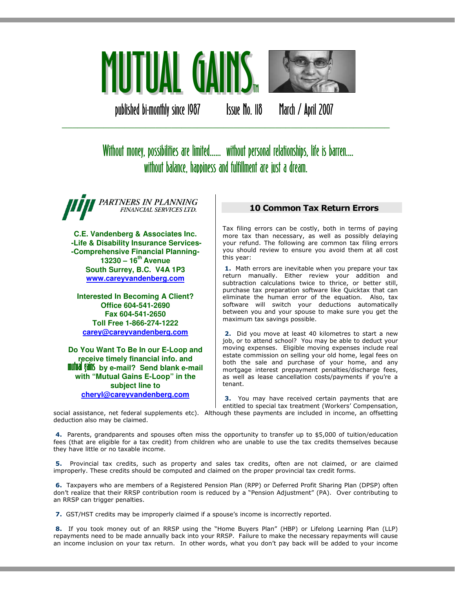

published bi-monthly since 1987 Issue No. 118 March / April 2007

# Without money, possibilities are limited...... without personal relationships, life is barren.... without balance, happiness and fulfillment are just a dream.

\_\_\_\_\_\_\_\_\_\_\_\_\_\_\_\_\_\_\_\_\_\_\_\_\_\_\_\_\_\_\_\_\_\_\_\_\_\_\_\_\_\_\_\_\_\_\_\_\_\_\_\_\_\_\_\_\_\_\_\_\_\_\_

PARTNERS IN PLANNING FINANCIAL SERVICES LTD.

**C.E. Vandenberg & Associates Inc. -Life & Disability Insurance Services- -Comprehensive Financial Planning-13230 – 16th Avenue South Surrey, B.C. V4A 1P3 www.careyvandenberg.com**

**Interested In Becoming A Client? Office 604-541-2690 Fax 604-541-2650 Toll Free 1-866-274-1222 carey@careyvandenberg.com**

**Do You Want To Be In our E-Loop and receive timely financial info. and<br><b>mutual gains** by e-mail? Send blank e-mail **with "Mutual Gains E-Loop" in the subject line to cheryl@careyvandenberg.com**

#### 10 Common Tax Return Errors

Tax filing errors can be costly, both in terms of paying more tax than necessary, as well as possibly delaying your refund. The following are common tax filing errors you should review to ensure you avoid them at all cost this year:

1. Math errors are inevitable when you prepare your tax return manually. Either review your addition and subtraction calculations twice to thrice, or better still, purchase tax preparation software like Quicktax that can eliminate the human error of the equation. Also, tax software will switch your deductions automatically between you and your spouse to make sure you get the maximum tax savings possible.

 2. Did you move at least 40 kilometres to start a new job, or to attend school? You may be able to deduct your moving expenses. Eligible moving expenses include real estate commission on selling your old home, legal fees on both the sale and purchase of your home, and any mortgage interest prepayment penalties/discharge fees, as well as lease cancellation costs/payments if you're a tenant.

**3.** You may have received certain payments that are entitled to special tax treatment (Workers' Compensation,

social assistance, net federal supplements etc). Although these payments are included in income, an offsetting deduction also may be claimed.

 4. Parents, grandparents and spouses often miss the opportunity to transfer up to \$5,000 of tuition/education fees (that are eligible for a tax credit) from children who are unable to use the tax credits themselves because they have little or no taxable income.

 5. Provincial tax credits, such as property and sales tax credits, often are not claimed, or are claimed improperly. These credits should be computed and claimed on the proper provincial tax credit forms.

 6. Taxpayers who are members of a Registered Pension Plan (RPP) or Deferred Profit Sharing Plan (DPSP) often don't realize that their RRSP contribution room is reduced by a "Pension Adjustment" (PA). Over contributing to an RRSP can trigger penalties.

7. GST/HST credits may be improperly claimed if a spouse's income is incorrectly reported.

 8. If you took money out of an RRSP using the "Home Buyers Plan" (HBP) or Lifelong Learning Plan (LLP) repayments need to be made annually back into your RRSP. Failure to make the necessary repayments will cause an income inclusion on your tax return. In other words, what you don't pay back will be added to your income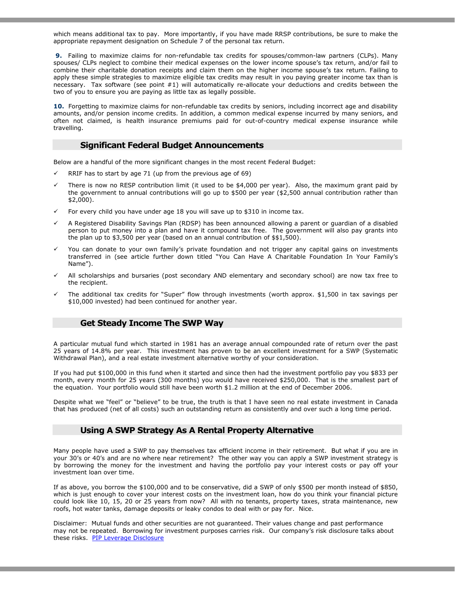which means additional tax to pay. More importantly, if you have made RRSP contributions, be sure to make the appropriate repayment designation on Schedule 7 of the personal tax return.

9. Failing to maximize claims for non-refundable tax credits for spouses/common-law partners (CLPs). Many spouses/ CLPs neglect to combine their medical expenses on the lower income spouse's tax return, and/or fail to combine their charitable donation receipts and claim them on the higher income spouse's tax return. Failing to apply these simple strategies to maximize eligible tax credits may result in you paying greater income tax than is necessary. Tax software (see point #1) will automatically re-allocate your deductions and credits between the two of you to ensure you are paying as little tax as legally possible.

10. Forgetting to maximize claims for non-refundable tax credits by seniors, including incorrect age and disability amounts, and/or pension income credits. In addition, a common medical expense incurred by many seniors, and often not claimed, is health insurance premiums paid for out-of-country medical expense insurance while travelling.

#### Significant Federal Budget Announcements

Below are a handful of the more significant changes in the most recent Federal Budget:

- RRIF has to start by age 71 (up from the previous age of 69)
- There is now no RESP contribution limit (it used to be \$4,000 per year). Also, the maximum grant paid by the government to annual contributions will go up to \$500 per year (\$2,500 annual contribution rather than \$2,000).
- For every child you have under age 18 you will save up to \$310 in income tax.
- A Registered Disability Savings Plan (RDSP) has been announced allowing a parent or guardian of a disabled person to put money into a plan and have it compound tax free. The government will also pay grants into the plan up to \$3,500 per year (based on an annual contribution of \$\$1,500).
- You can donate to your own family's private foundation and not trigger any capital gains on investments transferred in (see article further down titled "You Can Have A Charitable Foundation In Your Family's Name").
- All scholarships and bursaries (post secondary AND elementary and secondary school) are now tax free to the recipient.
- The additional tax credits for "Super" flow through investments (worth approx. \$1,500 in tax savings per \$10,000 invested) had been continued for another year.

#### Get Steady Income The SWP Way

A particular mutual fund which started in 1981 has an average annual compounded rate of return over the past 25 years of 14.8% per year. This investment has proven to be an excellent investment for a SWP (Systematic Withdrawal Plan), and a real estate investment alternative worthy of your consideration.

If you had put \$100,000 in this fund when it started and since then had the investment portfolio pay you \$833 per month, every month for 25 years (300 months) you would have received \$250,000. That is the smallest part of the equation. Your portfolio would still have been worth \$1.2 million at the end of December 2006.

Despite what we "feel" or "believe" to be true, the truth is that I have seen no real estate investment in Canada that has produced (net of all costs) such an outstanding return as consistently and over such a long time period.

#### Using A SWP Strategy As A Rental Property Alternative

Many people have used a SWP to pay themselves tax efficient income in their retirement. But what if you are in your 30's or 40's and are no where near retirement? The other way you can apply a SWP investment strategy is by borrowing the money for the investment and having the portfolio pay your interest costs or pay off your investment loan over time.

If as above, you borrow the \$100,000 and to be conservative, did a SWP of only \$500 per month instead of \$850, which is just enough to cover your interest costs on the investment loan, how do you think your financial picture could look like 10, 15, 20 or 25 years from now? All with no tenants, property taxes, strata maintenance, new roofs, hot water tanks, damage deposits or leaky condos to deal with or pay for. Nice.

Disclaimer: Mutual funds and other securities are not guaranteed. Their values change and past performance may not be repeated. Borrowing for investment purposes carries risk. Our company's risk disclosure talks about these risks. PIP Leverage Disclosure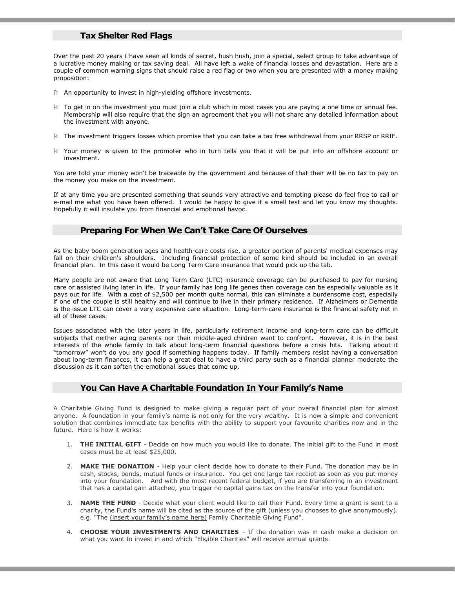#### Tax Shelter Red Flags

Over the past 20 years I have seen all kinds of secret, hush hush, join a special, select group to take advantage of a lucrative money making or tax saving deal. All have left a wake of financial losses and devastation. Here are a couple of common warning signs that should raise a red flag or two when you are presented with a money making proposition:

- An opportunity to invest in high-yielding offshore investments.
- $\mu$  To get in on the investment you must join a club which in most cases you are paying a one time or annual fee. Membership will also require that the sign an agreement that you will not share any detailed information about the investment with anyone.
- $\mathbb h$  The investment triggers losses which promise that you can take a tax free withdrawal from your RRSP or RRIF.
- Your money is given to the promoter who in turn tells you that it will be put into an offshore account or investment.

You are told your money won't be traceable by the government and because of that their will be no tax to pay on the money you make on the investment.

If at any time you are presented something that sounds very attractive and tempting please do feel free to call or e-mail me what you have been offered. I would be happy to give it a smell test and let you know my thoughts. Hopefully it will insulate you from financial and emotional havoc.

#### Preparing For When We Can't Take Care Of Ourselves

As the baby boom generation ages and health-care costs rise, a greater portion of parents' medical expenses may fall on their children's shoulders. Including financial protection of some kind should be included in an overall financial plan. In this case it would be Long Term Care insurance that would pick up the tab.

Many people are not aware that Long Term Care (LTC) insurance coverage can be purchased to pay for nursing care or assisted living later in life. If your family has long life genes then coverage can be especially valuable as it pays out for life. With a cost of \$2,500 per month quite normal, this can eliminate a burdensome cost, especially if one of the couple is still healthy and will continue to live in their primary residence. If Alzheimers or Dementia is the issue LTC can cover a very expensive care situation. Long-term-care insurance is the financial safety net in all of these cases.

Issues associated with the later years in life, particularly retirement income and long-term care can be difficult subjects that neither aging parents nor their middle-aged children want to confront. However, it is in the best interests of the whole family to talk about long-term financial questions before a crisis hits. Talking about it "tomorrow" won't do you any good if something happens today. If family members resist having a conversation about long-term finances, it can help a great deal to have a third party such as a financial planner moderate the discussion as it can soften the emotional issues that come up.

#### You Can Have A Charitable Foundation In Your Family's Name

A Charitable Giving Fund is designed to make giving a regular part of your overall financial plan for almost anyone. A foundation in your family's name is not only for the very wealthy. It is now a simple and convenient solution that combines immediate tax benefits with the ability to support your favourite charities now and in the future. Here is how it works:

- 1. THE INITIAL GIFT Decide on how much you would like to donate. The initial gift to the Fund in most cases must be at least \$25,000.
- 2. MAKE THE DONATION Help your client decide how to donate to their Fund. The donation may be in cash, stocks, bonds, mutual funds or insurance. You get one large tax receipt as soon as you put money into your foundation. And with the most recent federal budget, if you are transferring in an investment that has a capital gain attached, you trigger no capital gains tax on the transfer into your foundation.
- 3. NAME THE FUND Decide what your client would like to call their Fund. Every time a grant is sent to a charity, the Fund's name will be cited as the source of the gift (unless you chooses to give anonymously). e.g. "The *(insert your family's name here)* Family Charitable Giving Fund".
- 4. CHOOSE YOUR INVESTMENTS AND CHARITIES If the donation was in cash make a decision on what you want to invest in and which "Eligible Charities" will receive annual grants.